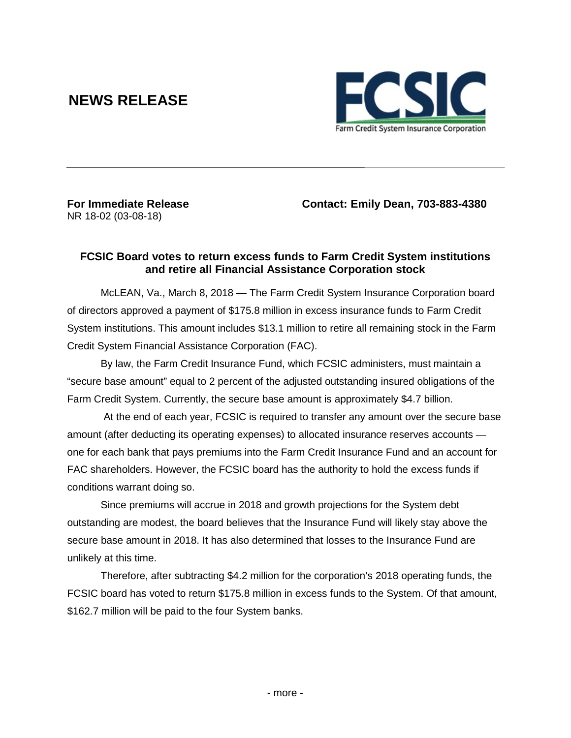# **NEWS RELEASE**



NR 18-02 (03-08-18)

**For Immediate Release Contact: Emily Dean, 703-883-4380**

## **FCSIC Board votes to return excess funds to Farm Credit System institutions and retire all Financial Assistance Corporation stock**

McLEAN, Va., March 8, 2018 — The Farm Credit System Insurance Corporation board of directors approved a payment of \$175.8 million in excess insurance funds to Farm Credit System institutions. This amount includes \$13.1 million to retire all remaining stock in the Farm Credit System Financial Assistance Corporation (FAC).

By law, the Farm Credit Insurance Fund, which FCSIC administers, must maintain a "secure base amount" equal to 2 percent of the adjusted outstanding insured obligations of the Farm Credit System. Currently, the secure base amount is approximately \$4.7 billion.

At the end of each year, FCSIC is required to transfer any amount over the secure base amount (after deducting its operating expenses) to allocated insurance reserves accounts one for each bank that pays premiums into the Farm Credit Insurance Fund and an account for FAC shareholders. However, the FCSIC board has the authority to hold the excess funds if conditions warrant doing so.

Since premiums will accrue in 2018 and growth projections for the System debt outstanding are modest, the board believes that the Insurance Fund will likely stay above the secure base amount in 2018. It has also determined that losses to the Insurance Fund are unlikely at this time.

Therefore, after subtracting \$4.2 million for the corporation's 2018 operating funds, the FCSIC board has voted to return \$175.8 million in excess funds to the System. Of that amount, \$162.7 million will be paid to the four System banks.